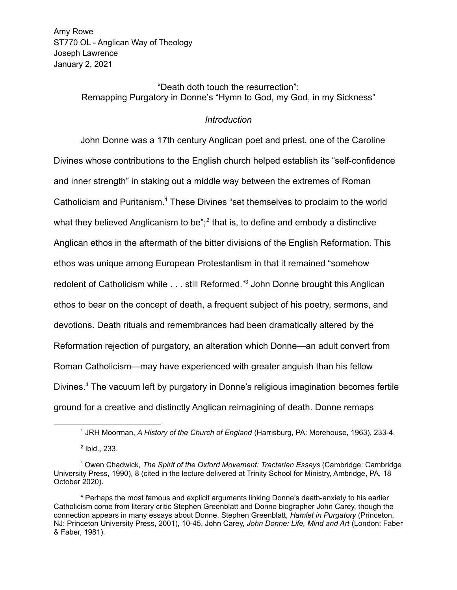Amy Rowe ST770 OL - Anglican Way of Theology Joseph Lawrence January 2, 2021

> "Death doth touch the resurrection": Remapping Purgatory in Donne's "Hymn to God, my God, in my Sickness"

## *Introduction*

John Donne was a 17th century Anglican poet and priest, one of the Caroline Divines whose contributions to the English church helped establish its "self-confidence and inner strength" in staking out a middle way between the extremes of Roman Catholicism and Puritanism.<sup>1</sup> These Divines "set themselves to proclaim to the world what they believed Anglicanism to be";<sup>2</sup> that is, to define and embody a distinctive Anglican ethos in the aftermath of the bitter divisions of the English Reformation. This ethos was unique among European Protestantism in that it remained "somehow redolent of Catholicism while . . . still Reformed."<sup>3</sup> John Donne brought this Anglican ethos to bear on the concept of death, a frequent subject of his poetry, sermons, and devotions. Death rituals and remembrances had been dramatically altered by the Reformation rejection of purgatory, an alteration which Donne—an adult convert from Roman Catholicism—may have experienced with greater anguish than his fellow Divines.<sup>4</sup> The vacuum left by purgatory in Donne's religious imagination becomes fertile ground for a creative and distinctly Anglican reimagining of death. Donne remaps

<sup>1</sup> JRH Moorman, *A History of the Church of England* (Harrisburg, PA: Morehouse, 1963), 233-4.

<sup>2</sup> Ibid., 233.

<sup>3</sup> Owen Chadwick, *The Spirit of the Oxford Movement: Tractarian Essays* (Cambridge: Cambridge University Press, 1990), 8 (cited in the lecture delivered at Trinity School for Ministry, Ambridge, PA, 18 October 2020).

<sup>4</sup> Perhaps the most famous and explicit arguments linking Donne's death-anxiety to his earlier Catholicism come from literary critic Stephen Greenblatt and Donne biographer John Carey, though the connection appears in many essays about Donne. Stephen Greenblatt, *Hamlet in Purgatory* (Princeton, NJ: Princeton University Press, 2001), 10-45. John Carey, *John Donne: Life, Mind and Art* (London: Faber & Faber, 1981).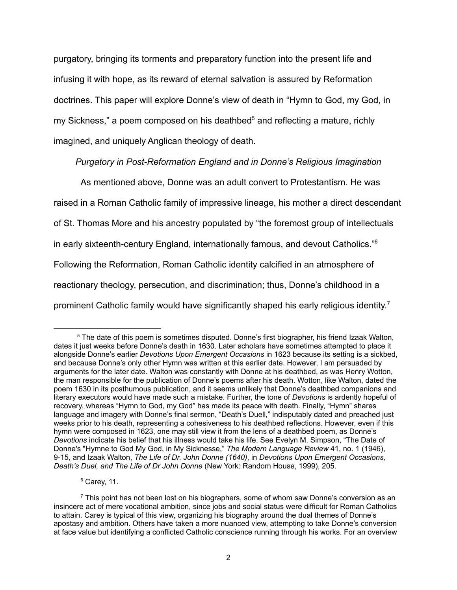purgatory, bringing its torments and preparatory function into the present life and infusing it with hope, as its reward of eternal salvation is assured by Reformation doctrines. This paper will explore Donne's view of death in "Hymn to God, my God, in my Sickness," a poem composed on his deathbed<sup>5</sup> and reflecting a mature, richly imagined, and uniquely Anglican theology of death.

## *Purgatory in Post-Reformation England and in Donne's Religious Imagination*

As mentioned above, Donne was an adult convert to Protestantism. He was raised in a Roman Catholic family of impressive lineage, his mother a direct descendant of St. Thomas More and his ancestry populated by "the foremost group of intellectuals in early sixteenth-century England, internationally famous, and devout Catholics."<sup>6</sup> Following the Reformation, Roman Catholic identity calcified in an atmosphere of reactionary theology, persecution, and discrimination; thus, Donne's childhood in a prominent Catholic family would have significantly shaped his early religious identity.<sup>7</sup>

 $6$  Carev, 11.

<sup>&</sup>lt;sup>5</sup> The date of this poem is sometimes disputed. Donne's first biographer, his friend Izaak Walton, dates it just weeks before Donne's death in 1630. Later scholars have sometimes attempted to place it alongside Donne's earlier *Devotions Upon Emergent Occasions* in 1623 because its setting is a sickbed, and because Donne's only other Hymn was written at this earlier date. However, I am persuaded by arguments for the later date. Walton was constantly with Donne at his deathbed, as was Henry Wotton, the man responsible for the publication of Donne's poems after his death. Wotton, like Walton, dated the poem 1630 in its posthumous publication, and it seems unlikely that Donne's deathbed companions and literary executors would have made such a mistake. Further, the tone of *Devotions* is ardently hopeful of recovery, whereas "Hymn to God, my God" has made its peace with death. Finally, "Hymn" shares language and imagery with Donne's final sermon, "Death's Duell," indisputably dated and preached just weeks prior to his death, representing a cohesiveness to his deathbed reflections. However, even if this hymn were composed in 1623, one may still view it from the lens of a deathbed poem, as Donne's *Devotions* indicate his belief that his illness would take his life. See Evelyn M. Simpson, "The Date of Donne's "Hymne to God My God, in My Sicknesse," *The Modern Language Review* 41, no. 1 (1946), 9-15, and Izaak Walton, *The Life of Dr. John Donne (1640)*, in *Devotions Upon Emergent Occasions, Death's Duel, and The Life of Dr John Donne* (New York: Random House, 1999), 205.

 $<sup>7</sup>$  This point has not been lost on his biographers, some of whom saw Donne's conversion as an</sup> insincere act of mere vocational ambition, since jobs and social status were difficult for Roman Catholics to attain. Carey is typical of this view, organizing his biography around the dual themes of Donne's apostasy and ambition. Others have taken a more nuanced view, attempting to take Donne's conversion at face value but identifying a conflicted Catholic conscience running through his works. For an overview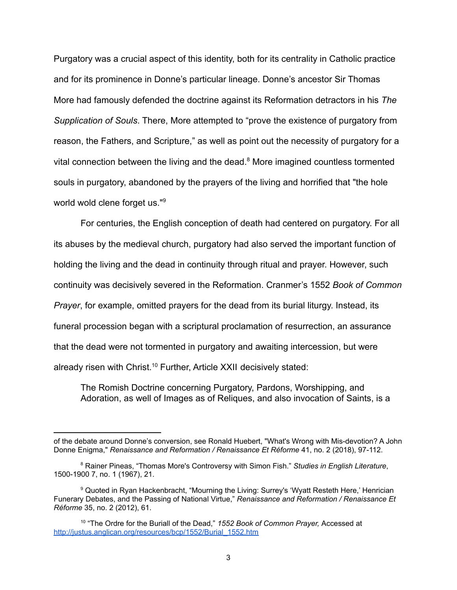Purgatory was a crucial aspect of this identity, both for its centrality in Catholic practice and for its prominence in Donne's particular lineage. Donne's ancestor Sir Thomas More had famously defended the doctrine against its Reformation detractors in his *The Supplication of Souls*. There, More attempted to "prove the existence of purgatory from reason, the Fathers, and Scripture," as well as point out the necessity of purgatory for a vital connection between the living and the dead.<sup>8</sup> More imagined countless tormented souls in purgatory, abandoned by the prayers of the living and horrified that "the hole world wold clene forget us."<sup>9</sup>

For centuries, the English conception of death had centered on purgatory. For all its abuses by the medieval church, purgatory had also served the important function of holding the living and the dead in continuity through ritual and prayer. However, such continuity was decisively severed in the Reformation. Cranmer's 1552 *Book of Common Prayer*, for example, omitted prayers for the dead from its burial liturgy. Instead, its funeral procession began with a scriptural proclamation of resurrection, an assurance that the dead were not tormented in purgatory and awaiting intercession, but were already risen with Christ.<sup>10</sup> Further, Article XXII decisively stated:

The Romish Doctrine concerning Purgatory, Pardons, Worshipping, and Adoration, as well of Images as of Reliques, and also invocation of Saints, is a

of the debate around Donne's conversion, see Ronald Huebert, "What's Wrong with Mis-devotion? A John Donne Enigma," *Renaissance and Reformation / Renaissance Et Réforme* 41, no. 2 (2018), 97-112.

<sup>8</sup> Rainer Pineas, "Thomas More's Controversy with Simon Fish." *Studies in English Literature*, 1500-1900 7, no. 1 (1967), 21.

<sup>&</sup>lt;sup>9</sup> Quoted in Ryan Hackenbracht, "Mourning the Living: Surrey's 'Wyatt Resteth Here,' Henrician Funerary Debates, and the Passing of National Virtue," *Renaissance and Reformation / Renaissance Et Réforme* 35, no. 2 (2012), 61.

<sup>10</sup> "The Ordre for the Buriall of the Dead," *1552 Book of Common Prayer,* Accessed at [http://justus.anglican.org/resources/bcp/1552/Burial\\_1552.htm](http://justus.anglican.org/resources/bcp/1552/Burial_1552.htm)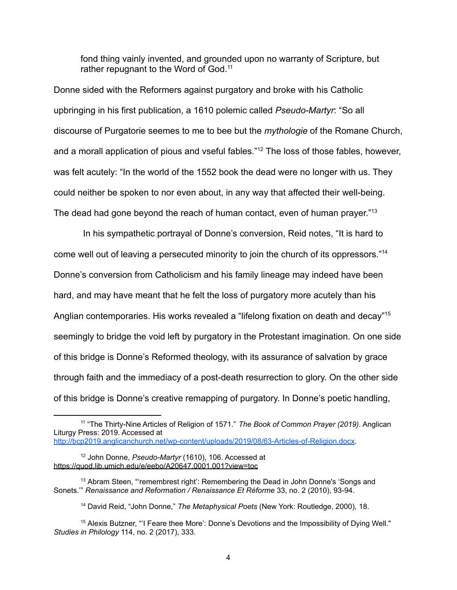fond thing vainly invented, and grounded upon no warranty of Scripture, but rather repugnant to the Word of God.<sup>11</sup>

Donne sided with the Reformers against purgatory and broke with his Catholic upbringing in his first publication, a 1610 polemic called *Pseudo-Martyr*: "So all discourse of Purgatorie seemes to me to bee but the *mythologie* of the Romane Church, and a morall application of pious and vseful fables."<sup>12</sup> The loss of those fables, however, was felt acutely: "In the world of the 1552 book the dead were no longer with us. They could neither be spoken to nor even about, in any way that affected their well-being. The dead had gone beyond the reach of human contact, even of human prayer."<sup>13</sup>

In his sympathetic portrayal of Donne's conversion, Reid notes, "It is hard to come well out of leaving a persecuted minority to join the church of its oppressors."<sup>14</sup> Donne's conversion from Catholicism and his family lineage may indeed have been hard, and may have meant that he felt the loss of purgatory more acutely than his Anglian contemporaries. His works revealed a "lifelong fixation on death and decay"<sup>15</sup> seemingly to bridge the void left by purgatory in the Protestant imagination. On one side of this bridge is Donne's Reformed theology, with its assurance of salvation by grace through faith and the immediacy of a post-death resurrection to glory. On the other side of this bridge is Donne's creative remapping of purgatory. In Donne's poetic handling,

<sup>11</sup> "The Thirty-Nine Articles of Religion of 1571." *The Book of Common Prayer (2019)*. Anglican Liturgy Press: 2019. Accessed at <http://bcp2019.anglicanchurch.net/wp-content/uploads/2019/08/63-Articles-of-Religion.docx>.

<sup>12</sup> John Donne, *Pseudo-Martyr* (1610), 106. Accessed at <https://quod.lib.umich.edu/e/eebo/A20647.0001.001?view=toc>

<sup>&</sup>lt;sup>13</sup> Abram Steen, "'remembrest right': Remembering the Dead in John Donne's 'Songs and Sonets.'" *Renaissance and Reformation / Renaissance Et Réforme* 33, no. 2 (2010), 93-94.

<sup>14</sup> David Reid, "John Donne," *The Metaphysical Poets* (New York: Routledge, 2000), 18.

<sup>&</sup>lt;sup>15</sup> Alexis Butzner, "I Feare thee More': Donne's Devotions and the Impossibility of Dying Well." *Studies in Philology* 114, no. 2 (2017), 333.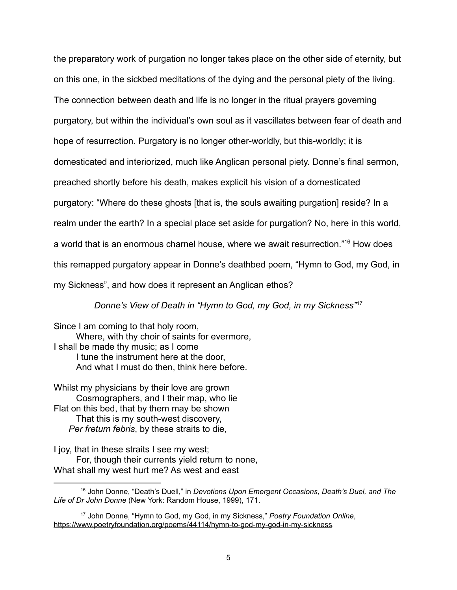the preparatory work of purgation no longer takes place on the other side of eternity, but on this one, in the sickbed meditations of the dying and the personal piety of the living. The connection between death and life is no longer in the ritual prayers governing purgatory, but within the individual's own soul as it vascillates between fear of death and hope of resurrection. Purgatory is no longer other-worldly, but this-worldly; it is domesticated and interiorized, much like Anglican personal piety. Donne's final sermon, preached shortly before his death, makes explicit his vision of a domesticated purgatory: "Where do these ghosts [that is, the souls awaiting purgation] reside? In a realm under the earth? In a special place set aside for purgation? No, here in this world, a world that is an enormous charnel house, where we await resurrection."<sup>16</sup> How does this remapped purgatory appear in Donne's deathbed poem, "Hymn to God, my God, in my Sickness", and how does it represent an Anglican ethos?

*Donne's View of Death in "Hymn to God, my God, in my Sickness"*<sup>17</sup>

Since I am coming to that holy room, Where, with thy choir of saints for evermore, I shall be made thy music; as I come I tune the instrument here at the door, And what I must do then, think here before.

Whilst my physicians by their love are grown Cosmographers, and I their map, who lie Flat on this bed, that by them may be shown That this is my south-west discovery, *Per fretum febris*, by these straits to die,

I joy, that in these straits I see my west; For, though their currents yield return to none, What shall my west hurt me? As west and east

<sup>16</sup> John Donne, "Death's Duell," in *Devotions Upon Emergent Occasions, Death's Duel, and The Life of Dr John Donne* (New York: Random House, 1999), 171.

<sup>17</sup> John Donne, "Hymn to God, my God, in my Sickness," *Poetry Foundation Online*, <https://www.poetryfoundation.org/poems/44114/hymn-to-god-my-god-in-my-sickness>.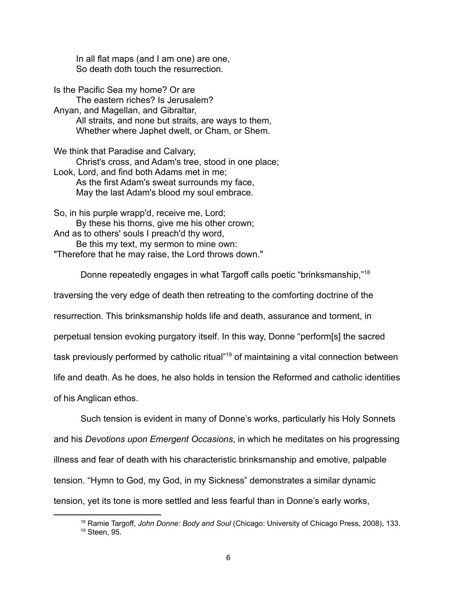In all flat maps (and I am one) are one, So death doth touch the resurrection.

Is the Pacific Sea my home? Or are The eastern riches? Is Jerusalem? Anyan, and Magellan, and Gibraltar, All straits, and none but straits, are ways to them, Whether where Japhet dwelt, or Cham, or Shem.

We think that Paradise and Calvary, Christ's cross, and Adam's tree, stood in one place; Look, Lord, and find both Adams met in me; As the first Adam's sweat surrounds my face, May the last Adam's blood my soul embrace.

So, in his purple wrapp'd, receive me, Lord; By these his thorns, give me his other crown; And as to others' souls I preach'd thy word, Be this my text, my sermon to mine own: "Therefore that he may raise, the Lord throws down."

Donne repeatedly engages in what Targoff calls poetic "brinksmanship,"<sup>18</sup>

traversing the very edge of death then retreating to the comforting doctrine of the

resurrection. This brinksmanship holds life and death, assurance and torment, in

perpetual tension evoking purgatory itself. In this way, Donne "perform[s] the sacred

task previously performed by catholic ritual"<sup>19</sup> of maintaining a vital connection between

life and death. As he does, he also holds in tension the Reformed and catholic identities

of his Anglican ethos.

Such tension is evident in many of Donne's works, particularly his Holy Sonnets and his *Devotions upon Emergent Occasions*, in which he meditates on his progressing illness and fear of death with his characteristic brinksmanship and emotive, palpable tension. "Hymn to God, my God, in my Sickness" demonstrates a similar dynamic tension, yet its tone is more settled and less fearful than in Donne's early works,

<sup>19</sup> Steen, 95. <sup>18</sup> Ramie Targoff, *John Donne: Body and Soul* (Chicago: University of Chicago Press, 2008), 133.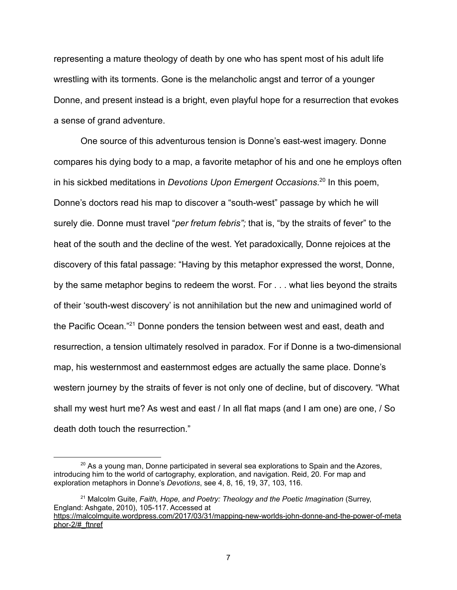representing a mature theology of death by one who has spent most of his adult life wrestling with its torments. Gone is the melancholic angst and terror of a younger Donne, and present instead is a bright, even playful hope for a resurrection that evokes a sense of grand adventure.

One source of this adventurous tension is Donne's east-west imagery. Donne compares his dying body to a map, a favorite metaphor of his and one he employs often in his sickbed meditations in *Devotions Upon Emergent Occasions*. 20 In this poem, Donne's doctors read his map to discover a "south-west" passage by which he will surely die. Donne must travel "*per fretum febris";* that is, "by the straits of fever" to the heat of the south and the decline of the west. Yet paradoxically, Donne rejoices at the discovery of this fatal passage: "Having by this metaphor expressed the worst, Donne, by the same metaphor begins to redeem the worst. For . . . what lies beyond the straits of their 'south-west discovery' is not annihilation but the new and unimagined world of the Pacific Ocean."<sup>21</sup> Donne ponders the tension between west and east, death and resurrection, a tension ultimately resolved in paradox. For if Donne is a two-dimensional map, his westernmost and easternmost edges are actually the same place. Donne's western journey by the straits of fever is not only one of decline, but of discovery. "What shall my west hurt me? As west and east / In all flat maps (and I am one) are one, / So death doth touch the resurrection."

<sup>&</sup>lt;sup>20</sup> As a young man, Donne participated in several sea explorations to Spain and the Azores, introducing him to the world of cartography, exploration, and navigation. Reid, 20. For map and exploration metaphors in Donne's *Devotions*, see 4, 8, 16, 19, 37, 103, 116.

<sup>21</sup> Malcolm Guite, *Faith, Hope, and Poetry: Theology and the Poetic Imagination* (Surrey, England: Ashgate, 2010), 105-117. Accessed at [https://malcolmguite.wordpress.com/2017/03/31/mapping-new-worlds-john-donne-and-the-power-of-meta](https://malcolmguite.wordpress.com/2017/03/31/mapping-new-worlds-john-donne-and-the-power-of-metaphor-2/#_ftnref) [phor-2/#\\_ftnref](https://malcolmguite.wordpress.com/2017/03/31/mapping-new-worlds-john-donne-and-the-power-of-metaphor-2/#_ftnref)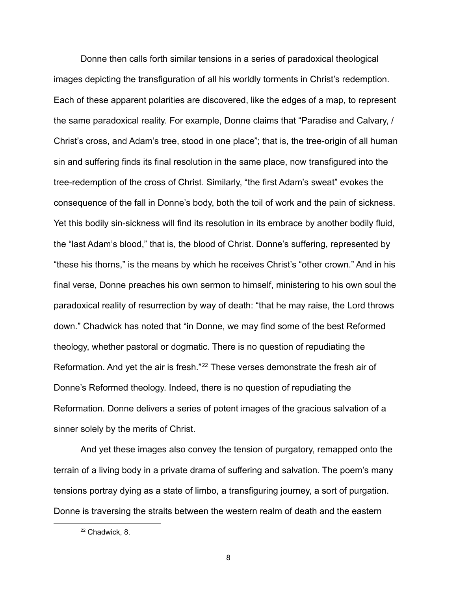Donne then calls forth similar tensions in a series of paradoxical theological images depicting the transfiguration of all his worldly torments in Christ's redemption. Each of these apparent polarities are discovered, like the edges of a map, to represent the same paradoxical reality. For example, Donne claims that "Paradise and Calvary, / Christ's cross, and Adam's tree, stood in one place"; that is, the tree-origin of all human sin and suffering finds its final resolution in the same place, now transfigured into the tree-redemption of the cross of Christ. Similarly, "the first Adam's sweat" evokes the consequence of the fall in Donne's body, both the toil of work and the pain of sickness. Yet this bodily sin-sickness will find its resolution in its embrace by another bodily fluid, the "last Adam's blood," that is, the blood of Christ. Donne's suffering, represented by "these his thorns," is the means by which he receives Christ's "other crown." And in his final verse, Donne preaches his own sermon to himself, ministering to his own soul the paradoxical reality of resurrection by way of death: "that he may raise, the Lord throws down." Chadwick has noted that "in Donne, we may find some of the best Reformed theology, whether pastoral or dogmatic. There is no question of repudiating the Reformation. And yet the air is fresh."<sup>22</sup> These verses demonstrate the fresh air of Donne's Reformed theology. Indeed, there is no question of repudiating the Reformation. Donne delivers a series of potent images of the gracious salvation of a sinner solely by the merits of Christ.

And yet these images also convey the tension of purgatory, remapped onto the terrain of a living body in a private drama of suffering and salvation. The poem's many tensions portray dying as a state of limbo, a transfiguring journey, a sort of purgation. Donne is traversing the straits between the western realm of death and the eastern

8

<sup>22</sup> Chadwick, 8.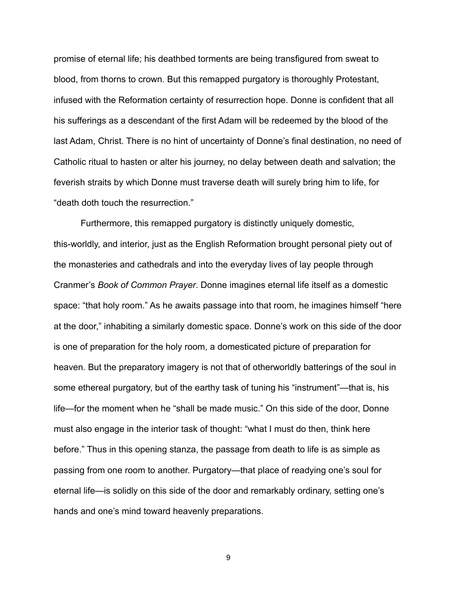promise of eternal life; his deathbed torments are being transfigured from sweat to blood, from thorns to crown. But this remapped purgatory is thoroughly Protestant, infused with the Reformation certainty of resurrection hope. Donne is confident that all his sufferings as a descendant of the first Adam will be redeemed by the blood of the last Adam, Christ. There is no hint of uncertainty of Donne's final destination, no need of Catholic ritual to hasten or alter his journey, no delay between death and salvation; the feverish straits by which Donne must traverse death will surely bring him to life, for "death doth touch the resurrection."

Furthermore, this remapped purgatory is distinctly uniquely domestic, this-worldly, and interior, just as the English Reformation brought personal piety out of the monasteries and cathedrals and into the everyday lives of lay people through Cranmer's *Book of Common Prayer*. Donne imagines eternal life itself as a domestic space: "that holy room." As he awaits passage into that room, he imagines himself "here at the door," inhabiting a similarly domestic space. Donne's work on this side of the door is one of preparation for the holy room, a domesticated picture of preparation for heaven. But the preparatory imagery is not that of otherworldly batterings of the soul in some ethereal purgatory, but of the earthy task of tuning his "instrument"—that is, his life—for the moment when he "shall be made music." On this side of the door, Donne must also engage in the interior task of thought: "what I must do then, think here before." Thus in this opening stanza, the passage from death to life is as simple as passing from one room to another. Purgatory—that place of readying one's soul for eternal life—is solidly on this side of the door and remarkably ordinary, setting one's hands and one's mind toward heavenly preparations.

9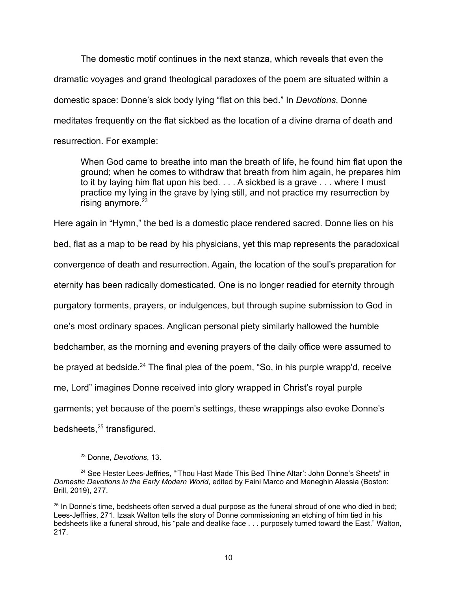The domestic motif continues in the next stanza, which reveals that even the dramatic voyages and grand theological paradoxes of the poem are situated within a domestic space: Donne's sick body lying "flat on this bed." In *Devotions*, Donne meditates frequently on the flat sickbed as the location of a divine drama of death and resurrection. For example:

When God came to breathe into man the breath of life, he found him flat upon the ground; when he comes to withdraw that breath from him again, he prepares him to it by laying him flat upon his bed. . . . A sickbed is a grave . . . where I must practice my lying in the grave by lying still, and not practice my resurrection by rising anymore. $23$ 

Here again in "Hymn," the bed is a domestic place rendered sacred. Donne lies on his bed, flat as a map to be read by his physicians, yet this map represents the paradoxical convergence of death and resurrection. Again, the location of the soul's preparation for eternity has been radically domesticated. One is no longer readied for eternity through purgatory torments, prayers, or indulgences, but through supine submission to God in one's most ordinary spaces. Anglican personal piety similarly hallowed the humble bedchamber, as the morning and evening prayers of the daily office were assumed to be prayed at bedside.<sup>24</sup> The final plea of the poem, "So, in his purple wrapp'd, receive me, Lord" imagines Donne received into glory wrapped in Christ's royal purple garments; yet because of the poem's settings, these wrappings also evoke Donne's bedsheets,<sup>25</sup> transfigured.

<sup>23</sup> Donne, *Devotions*, 13.

<sup>&</sup>lt;sup>24</sup> See Hester Lees-Jeffries, "Thou Hast Made This Bed Thine Altar': John Donne's Sheets" in *Domestic Devotions in the Early Modern World*, edited by Faini Marco and Meneghin Alessia (Boston: Brill, 2019), 277.

 $25$  In Donne's time, bedsheets often served a dual purpose as the funeral shroud of one who died in bed; Lees-Jeffries, 271. Izaak Walton tells the story of Donne commissioning an etching of him tied in his bedsheets like a funeral shroud, his "pale and dealike face . . . purposely turned toward the East." Walton, 217.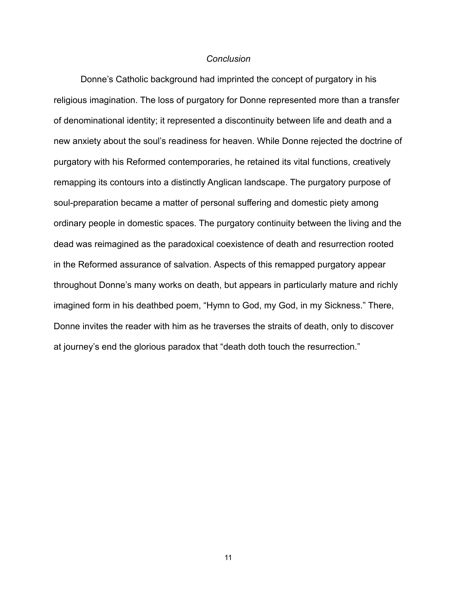## *Conclusion*

Donne's Catholic background had imprinted the concept of purgatory in his religious imagination. The loss of purgatory for Donne represented more than a transfer of denominational identity; it represented a discontinuity between life and death and a new anxiety about the soul's readiness for heaven. While Donne rejected the doctrine of purgatory with his Reformed contemporaries, he retained its vital functions, creatively remapping its contours into a distinctly Anglican landscape. The purgatory purpose of soul-preparation became a matter of personal suffering and domestic piety among ordinary people in domestic spaces. The purgatory continuity between the living and the dead was reimagined as the paradoxical coexistence of death and resurrection rooted in the Reformed assurance of salvation. Aspects of this remapped purgatory appear throughout Donne's many works on death, but appears in particularly mature and richly imagined form in his deathbed poem, "Hymn to God, my God, in my Sickness." There, Donne invites the reader with him as he traverses the straits of death, only to discover at journey's end the glorious paradox that "death doth touch the resurrection."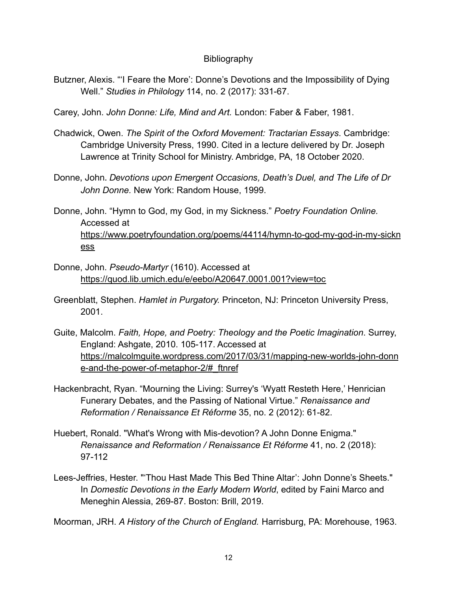## **Bibliography**

- Butzner, Alexis. "'I Feare the More': Donne's Devotions and the Impossibility of Dying Well." *Studies in Philology* 114, no. 2 (2017): 331-67.
- Carey, John. *John Donne: Life, Mind and Art.* London: Faber & Faber, 1981.
- Chadwick, Owen. *The Spirit of the Oxford Movement: Tractarian Essays*. Cambridge: Cambridge University Press, 1990. Cited in a lecture delivered by Dr. Joseph Lawrence at Trinity School for Ministry. Ambridge, PA, 18 October 2020.
- Donne, John. *Devotions upon Emergent Occasions, Death's Duel, and The Life of Dr John Donne.* New York: Random House, 1999.
- Donne, John. "Hymn to God, my God, in my Sickness." *Poetry Foundation Online.* Accessed at [https://www.poetryfoundation.org/poems/44114/hymn-to-god-my-god-in-my-sickn](https://www.poetryfoundation.org/poems/44114/hymn-to-god-my-god-in-my-sickness) [ess](https://www.poetryfoundation.org/poems/44114/hymn-to-god-my-god-in-my-sickness)
- Donne, John. *Pseudo-Martyr* (1610). Accessed at <https://quod.lib.umich.edu/e/eebo/A20647.0001.001?view=toc>
- Greenblatt, Stephen. *Hamlet in Purgatory.* Princeton, NJ: Princeton University Press, 2001.
- Guite, Malcolm. *Faith, Hope, and Poetry: Theology and the Poetic Imagination*. Surrey, England: Ashgate, 2010. 105-117. Accessed at [https://malcolmguite.wordpress.com/2017/03/31/mapping-new-worlds-john-donn](https://malcolmguite.wordpress.com/2017/03/31/mapping-new-worlds-john-donne-and-the-power-of-metaphor-2/#_ftnref) [e-and-the-power-of-metaphor-2/#\\_ftnref](https://malcolmguite.wordpress.com/2017/03/31/mapping-new-worlds-john-donne-and-the-power-of-metaphor-2/#_ftnref)
- Hackenbracht, Ryan. "Mourning the Living: Surrey's 'Wyatt Resteth Here,' Henrician Funerary Debates, and the Passing of National Virtue." *Renaissance and Reformation / Renaissance Et Réforme* 35, no. 2 (2012): 61-82.
- Huebert, Ronald. "What's Wrong with Mis-devotion? A John Donne Enigma." *Renaissance and Reformation / Renaissance Et Réforme* 41, no. 2 (2018): 97-112
- Lees-Jeffries, Hester. "'Thou Hast Made This Bed Thine Altar': John Donne's Sheets." In *Domestic Devotions in the Early Modern World*, edited by Faini Marco and Meneghin Alessia, 269-87. Boston: Brill, 2019.

Moorman, JRH. *A History of the Church of England.* Harrisburg, PA: Morehouse, 1963.